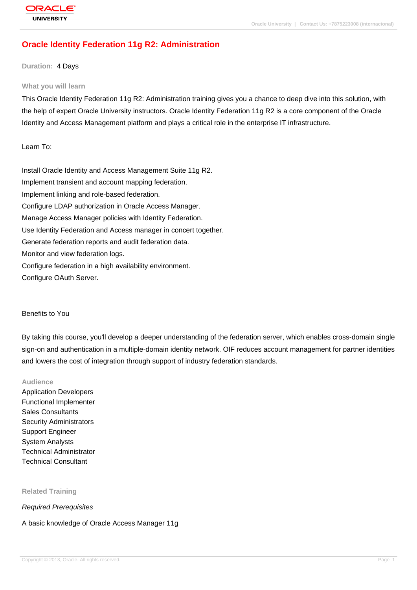# **Oracle Identity Federation 11g R2: Administration**

**Duration:** 4 Days

#### **What you will learn**

This Oracle Identity Federation 11g R2: Administration training gives you a chance to deep dive into this solution, with the help of expert Oracle University instructors. Oracle Identity Federation 11g R2 is a core component of the Oracle Identity and Access Management platform and plays a critical role in the enterprise IT infrastructure.

### Learn To:

Install Oracle Identity and Access Management Suite 11g R2. Implement transient and account mapping federation. Implement linking and role-based federation. Configure LDAP authorization in Oracle Access Manager. Manage Access Manager policies with Identity Federation. Use Identity Federation and Access manager in concert together. Generate federation reports and audit federation data. Monitor and view federation logs. Configure federation in a high availability environment. Configure OAuth Server.

#### Benefits to You

By taking this course, you'll develop a deeper understanding of the federation server, which enables cross-domain single sign-on and authentication in a multiple-domain identity network. OIF reduces account management for partner identities and lowers the cost of integration through support of industry federation standards.

### **Audience**

Application Developers Functional Implementer Sales Consultants Security Administrators Support Engineer System Analysts Technical Administrator Technical Consultant

#### **Related Training**

Required Prerequisites

#### A basic knowledge of Oracle Access Manager 11g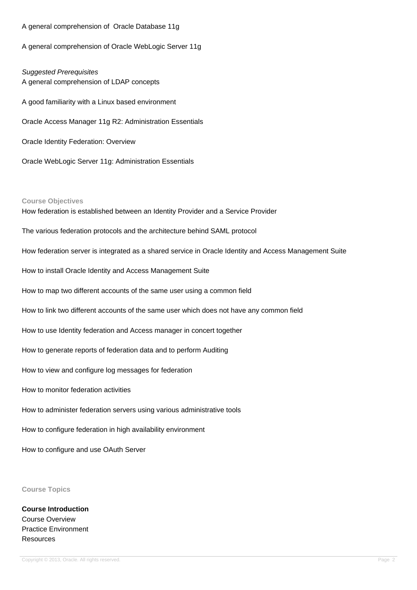A general comprehension of Oracle Database 11g

A general comprehension of Oracle WebLogic Server 11g

Suggested Prerequisites A general comprehension of LDAP concepts A good familiarity with a Linux based environment Oracle Access Manager 11g R2: Administration Essentials Oracle Identity Federation: Overview

Oracle WebLogic Server 11g: Administration Essentials

#### **Course Objectives**

How federation is established between an Identity Provider and a Service Provider The various federation protocols and the architecture behind SAML protocol How federation server is integrated as a shared service in Oracle Identity and Access Management Suite How to install Oracle Identity and Access Management Suite How to map two different accounts of the same user using a common field How to link two different accounts of the same user which does not have any common field How to use Identity federation and Access manager in concert together How to generate reports of federation data and to perform Auditing How to view and configure log messages for federation How to monitor federation activities How to administer federation servers using various administrative tools How to configure federation in high availability environment

How to configure and use OAuth Server

### **Course Topics**

**Course Introduction** Course Overview Practice Environment **Resources**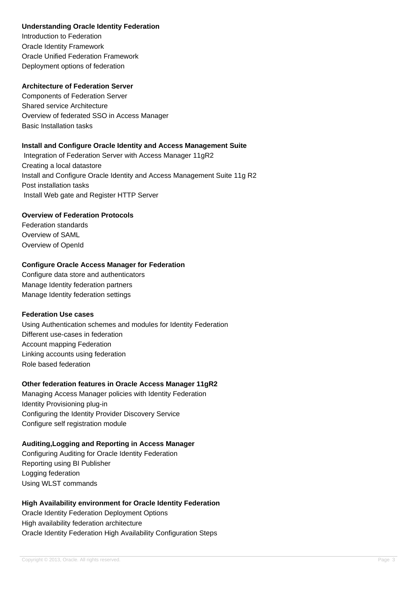## **Understanding Oracle Identity Federation**

Introduction to Federation Oracle Identity Framework Oracle Unified Federation Framework Deployment options of federation

## **Architecture of Federation Server**

Components of Federation Server Shared service Architecture Overview of federated SSO in Access Manager Basic Installation tasks

## **Install and Configure Oracle Identity and Access Management Suite**

 Integration of Federation Server with Access Manager 11gR2 Creating a local datastore Install and Configure Oracle Identity and Access Management Suite 11g R2 Post installation tasks Install Web gate and Register HTTP Server

## **Overview of Federation Protocols**

Federation standards Overview of SAML Overview of OpenId

## **Configure Oracle Access Manager for Federation**

Configure data store and authenticators Manage Identity federation partners Manage Identity federation settings

### **Federation Use cases**

Using Authentication schemes and modules for Identity Federation Different use-cases in federation Account mapping Federation Linking accounts using federation Role based federation

# **Other federation features in Oracle Access Manager 11gR2**

Managing Access Manager policies with Identity Federation Identity Provisioning plug-in Configuring the Identity Provider Discovery Service Configure self registration module

# **Auditing,Logging and Reporting in Access Manager**

Configuring Auditing for Oracle Identity Federation Reporting using BI Publisher Logging federation Using WLST commands

# **High Availability environment for Oracle Identity Federation**

Oracle Identity Federation Deployment Options High availability federation architecture Oracle Identity Federation High Availability Configuration Steps